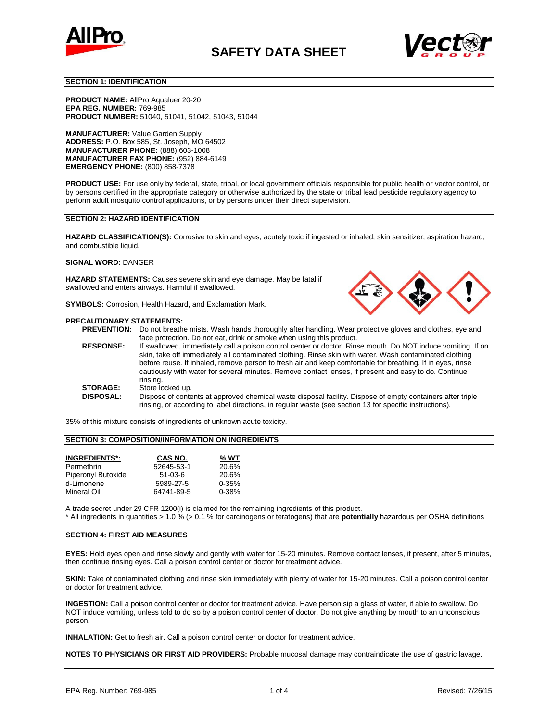



#### **SECTION 1: IDENTIFICATION**

**PRODUCT NAME:** AllPro Aqualuer 20-20 **EPA REG. NUMBER:** 769-985 **PRODUCT NUMBER:** 51040, 51041, 51042, 51043, 51044

**MANUFACTURER:** Value Garden Supply **ADDRESS:** P.O. Box 585, St. Joseph, MO 64502 **MANUFACTURER PHONE:** (888) 603-1008 **MANUFACTURER FAX PHONE:** (952) 884-6149 **EMERGENCY PHONE:** (800) 858-7378

**PRODUCT USE:** For use only by federal, state, tribal, or local government officials responsible for public health or vector control, or by persons certified in the appropriate category or otherwise authorized by the state or tribal lead pesticide regulatory agency to perform adult mosquito control applications, or by persons under their direct supervision.

### **SECTION 2: HAZARD IDENTIFICATION**

**HAZARD CLASSIFICATION(S):** Corrosive to skin and eyes, acutely toxic if ingested or inhaled, skin sensitizer, aspiration hazard, and combustible liquid.

#### **SIGNAL WORD:** DANGER

**HAZARD STATEMENTS:** Causes severe skin and eye damage. May be fatal if swallowed and enters airways. Harmful if swallowed.

**SYMBOLS:** Corrosion, Health Hazard, and Exclamation Mark.

### **PRECAUTIONARY STATEMENTS:**

**PREVENTION:** Do not breathe mists. Wash hands thoroughly after handling. Wear protective gloves and clothes, eye and face protection. Do not eat, drink or smoke when using this product. **RESPONSE:** If swallowed, immediately call a poison control center or doctor. Rinse mouth. Do NOT induce vomiting. If on skin, take off immediately all contaminated clothing. Rinse skin with water. Wash contaminated clothing before reuse. If inhaled, remove person to fresh air and keep comfortable for breathing. If in eyes, rinse cautiously with water for several minutes. Remove contact lenses, if present and easy to do. Continue rinsing. **STORAGE:** Store locked up.<br>**DISPOSAL:** Dispose of conte Dispose of contents at approved chemical waste disposal facility. Dispose of empty containers after triple rinsing, or according to label directions, in regular waste (see section 13 for specific instructions).

35% of this mixture consists of ingredients of unknown acute toxicity.

# **SECTION 3: COMPOSITION/INFORMATION ON INGREDIENTS**

| <b>INGREDIENTS*:</b> | CAS NO.    | % WT      |
|----------------------|------------|-----------|
| Permethrin           | 52645-53-1 | 20.6%     |
| Piperonyl Butoxide   | $51-03-6$  | 20.6%     |
| d-Limonene           | 5989-27-5  | $0 - 35%$ |
| Mineral Oil          | 64741-89-5 | $0 - 38%$ |

A trade secret under 29 CFR 1200(i) is claimed for the remaining ingredients of this product.

\* All ingredients in quantities > 1.0 % (> 0.1 % for carcinogens or teratogens) that are **potentially** hazardous per OSHA definitions

## **SECTION 4: FIRST AID MEASURES**

**EYES:** Hold eyes open and rinse slowly and gently with water for 15-20 minutes. Remove contact lenses, if present, after 5 minutes, then continue rinsing eyes. Call a poison control center or doctor for treatment advice.

**SKIN:** Take of contaminated clothing and rinse skin immediately with plenty of water for 15-20 minutes. Call a poison control center or doctor for treatment advice.

**INGESTION:** Call a poison control center or doctor for treatment advice. Have person sip a glass of water, if able to swallow. Do NOT induce vomiting, unless told to do so by a poison control center of doctor. Do not give anything by mouth to an unconscious person.

**INHALATION:** Get to fresh air. Call a poison control center or doctor for treatment advice.

**NOTES TO PHYSICIANS OR FIRST AID PROVIDERS:** Probable mucosal damage may contraindicate the use of gastric lavage.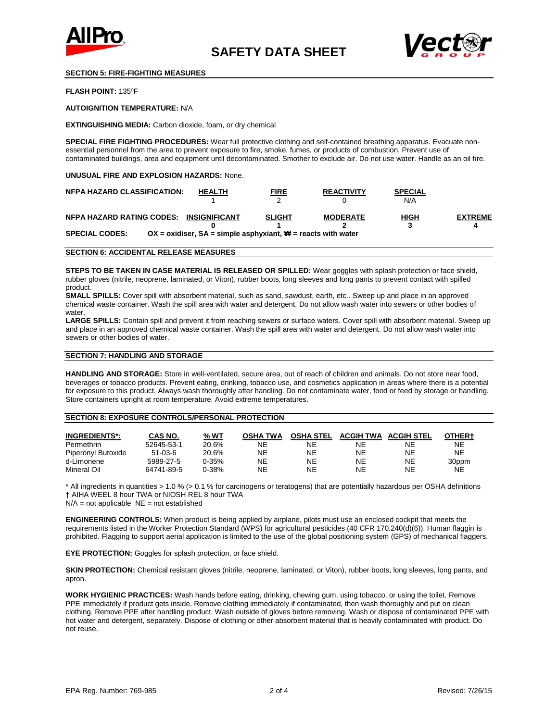



# **SECTION 5: FIRE-FIGHTING MEASURES**

**FLASH POINT:** 135ºF

**AUTOIGNITION TEMPERATURE:** N/A

**EXTINGUISHING MEDIA:** Carbon dioxide, foam, or dry chemical

**SPECIAL FIRE FIGHTING PROCEDURES:** Wear full protective clothing and self-contained breathing apparatus. Evacuate nonessential personnel from the area to prevent exposure to fire, smoke, fumes, or products of combustion. Prevent use of contaminated buildings, area and equipment until decontaminated. Smother to exclude air. Do not use water. Handle as an oil fire.

## **UNUSUAL FIRE AND EXPLOSION HAZARDS:** None.

| <b>NFPA HAZARD CLASSIFICATION:</b>      | <b>HEALTH</b>                                                                    | <b>FIRE</b>   | <b>REACTIVITY</b> | <b>SPECIAL</b><br>N/A |                |
|-----------------------------------------|----------------------------------------------------------------------------------|---------------|-------------------|-----------------------|----------------|
| NFPA HAZARD RATING CODES: INSIGNIFICANT |                                                                                  | <b>SLIGHT</b> | <b>MODERATE</b>   | HIGH                  | <b>EXTREME</b> |
| <b>SPECIAL CODES:</b>                   | OX = oxidiser, $SA =$ simple asphyxiant, $\mathbf{\ddot{w}} =$ reacts with water |               |                   |                       |                |

### **SECTION 6: ACCIDENTAL RELEASE MEASURES**

**STEPS TO BE TAKEN IN CASE MATERIAL IS RELEASED OR SPILLED:** Wear goggles with splash protection or face shield, rubber gloves (nitrile, neoprene, laminated, or Viton), rubber boots, long sleeves and long pants to prevent contact with spilled product.

**SMALL SPILLS:** Cover spill with absorbent material, such as sand, sawdust, earth, etc.. Sweep up and place in an approved chemical waste container. Wash the spill area with water and detergent. Do not allow wash water into sewers or other bodies of water.

LARGE SPILLS: Contain spill and prevent it from reaching sewers or surface waters. Cover spill with absorbent material. Sweep up and place in an approved chemical waste container. Wash the spill area with water and detergent. Do not allow wash water into sewers or other bodies of water.

# **SECTION 7: HANDLING AND STORAGE**

**HANDLING AND STORAGE:** Store in well-ventilated, secure area, out of reach of children and animals. Do not store near food, beverages or tobacco products. Prevent eating, drinking, tobacco use, and cosmetics application in areas where there is a potential for exposure to this product. Always wash thoroughly after handling. Do not contaminate water, food or feed by storage or handling. Store containers upright at room temperature. Avoid extreme temperatures.

#### **SECTION 8: EXPOSURE CONTROLS/PERSONAL PROTECTION**

| <b>INGREDIENTS*:</b> | CAS NO.    | % WT      | <b>OSHA TWA</b> | <b>OSHA STEL</b> | <b>ACGIH TWA</b> | <b>ACGIH STEL</b> | OTHER+ |
|----------------------|------------|-----------|-----------------|------------------|------------------|-------------------|--------|
| Permethrin           | 52645-53-1 | 20.6%     | NΕ              | NE               | NΕ               | NE.               | NE     |
| Piperonyl Butoxide   | $51-03-6$  | 20.6%     | ΝE              | NΕ               | NE               | NE                | NE     |
| d-Limonene           | 5989-27-5  | $0 - 35%$ | NΕ              | <b>NE</b>        | NE               | NE                | 30ppm  |
| Mineral Oil          | 64741-89-5 | $0 - 38%$ | ΝE              | NΕ               | NE.              | NE                | NE     |

\* All ingredients in quantities > 1.0 % (> 0.1 % for carcinogens or teratogens) that are potentially hazardous per OSHA definitions † AIHA WEEL 8 hour TWA or NIOSH REL 8 hour TWA

 $N/A$  = not applicable  $NE$  = not established

**ENGINEERING CONTROLS:** When product is being applied by airplane, pilots must use an enclosed cockpit that meets the requirements listed in the Worker Protection Standard (WPS) for agricultural pesticides (40 CFR 170.240(d)(6)). Human flaggin is prohibited. Flagging to support aerial application is limited to the use of the global positioning system (GPS) of mechanical flaggers.

**EYE PROTECTION:** Goggles for splash protection, or face shield.

**SKIN PROTECTION:** Chemical resistant gloves (nitrile, neoprene, laminated, or Viton), rubber boots, long sleeves, long pants, and apron.

**WORK HYGIENIC PRACTICES:** Wash hands before eating, drinking, chewing gum, using tobacco, or using the toilet. Remove PPE immediately if product gets inside. Remove clothing immediately if contaminated, then wash thoroughly and put on clean clothing. Remove PPE after handling product. Wash outside of gloves before removing. Wash or dispose of contaminated PPE with hot water and detergent, separately. Dispose of clothing or other absorbent material that is heavily contaminated with product. Do not reuse.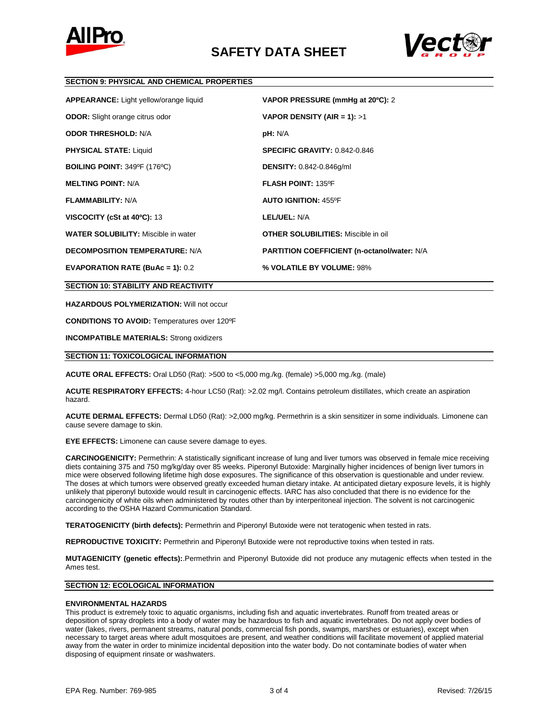



## **SECTION 9: PHYSICAL AND CHEMICAL PROPERTIES**

| <b>APPEARANCE:</b> Light yellow/orange liquid | VAPOR PRESSURE (mmHg at 20°C): 2                    |
|-----------------------------------------------|-----------------------------------------------------|
| <b>ODOR:</b> Slight orange citrus odor        | VAPOR DENSITY (AIR = 1): $>1$                       |
| <b>ODOR THRESHOLD: N/A</b>                    | pH: N/A                                             |
| <b>PHYSICAL STATE: Liquid</b>                 | <b>SPECIFIC GRAVITY: 0.842-0.846</b>                |
| <b>BOILING POINT: 349°F (176°C)</b>           | <b>DENSITY: 0.842-0.846g/ml</b>                     |
| <b>MELTING POINT: N/A</b>                     | <b>FLASH POINT: 135°F</b>                           |
| <b>FLAMMABILITY: N/A</b>                      | <b>AUTO IGNITION: 455°F</b>                         |
| VISCOCITY (cSt at 40°C): 13                   | LEL/UEL: N/A                                        |
| <b>WATER SOLUBILITY: Miscible in water</b>    | <b>OTHER SOLUBILITIES:</b> Miscible in oil          |
| <b>DECOMPOSITION TEMPERATURE: N/A</b>         | <b>PARTITION COEFFICIENT (n-octanol/water: N/A)</b> |
| <b>EVAPORATION RATE (BuAc = 1): 0.2</b>       | % VOLATILE BY VOLUME: 98%                           |

**SECTION 10: STABILITY AND REACTIVITY**

**HAZARDOUS POLYMERIZATION:** Will not occur

**CONDITIONS TO AVOID:** Temperatures over 120ºF

**INCOMPATIBLE MATERIALS:** Strong oxidizers

# **SECTION 11: TOXICOLOGICAL INFORMATION**

**ACUTE ORAL EFFECTS:** Oral LD50 (Rat): >500 to <5,000 mg./kg. (female) >5,000 mg./kg. (male)

**ACUTE RESPIRATORY EFFECTS:** 4-hour LC50 (Rat): >2.02 mg/l. Contains petroleum distillates, which create an aspiration hazard.

**ACUTE DERMAL EFFECTS:** Dermal LD50 (Rat): >2,000 mg/kg. Permethrin is a skin sensitizer in some individuals. Limonene can cause severe damage to skin.

**EYE EFFECTS:** Limonene can cause severe damage to eyes.

**CARCINOGENICITY:** Permethrin: A statistically significant increase of lung and liver tumors was observed in female mice receiving diets containing 375 and 750 mg/kg/day over 85 weeks. Piperonyl Butoxide: Marginally higher incidences of benign liver tumors in mice were observed following lifetime high dose exposures. The significance of this observation is questionable and under review. The doses at which tumors were observed greatly exceeded human dietary intake. At anticipated dietary exposure levels, it is highly unlikely that piperonyl butoxide would result in carcinogenic effects. IARC has also concluded that there is no evidence for the carcinogenicity of white oils when administered by routes other than by interperitoneal injection. The solvent is not carcinogenic according to the OSHA Hazard Communication Standard.

**TERATOGENICITY (birth defects):** Permethrin and Piperonyl Butoxide were not teratogenic when tested in rats.

**REPRODUCTIVE TOXICITY:** Permethrin and Piperonyl Butoxide were not reproductive toxins when tested in rats.

**MUTAGENICITY (genetic effects):**.Permethrin and Piperonyl Butoxide did not produce any mutagenic effects when tested in the Ames test.

## **SECTION 12: ECOLOGICAL INFORMATION**

#### **ENVIRONMENTAL HAZARDS**

This product is extremely toxic to aquatic organisms, including fish and aquatic invertebrates. Runoff from treated areas or deposition of spray droplets into a body of water may be hazardous to fish and aquatic invertebrates. Do not apply over bodies of water (lakes, rivers, permanent streams, natural ponds, commercial fish ponds, swamps, marshes or estuaries), except when necessary to target areas where adult mosquitoes are present, and weather conditions will facilitate movement of applied material away from the water in order to minimize incidental deposition into the water body. Do not contaminate bodies of water when disposing of equipment rinsate or washwaters.